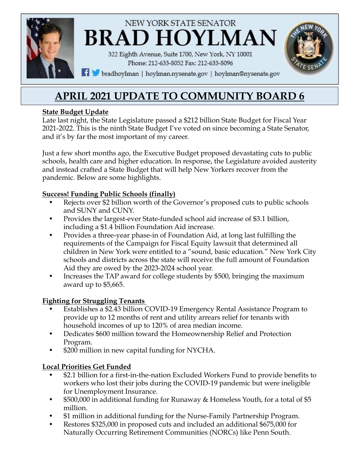

# **APRIL 2021 UPDATE TO COMMUNITY BOARD 6**

## **State Budget Update**

Late last night, the State Legislature passed a \$212 billion State Budget for Fiscal Year 2021-2022. This is the ninth State Budget I've voted on since becoming a State Senator, and it's by far the most important of my career.

Just a few short months ago, the Executive Budget proposed devastating cuts to public schools, health care and higher education. In response, the Legislature avoided austerity and instead crafted a State Budget that will help New Yorkers recover from the pandemic. Below are some highlights.

## **Success! Funding Public Schools (finally)**

- Rejects over \$2 billion worth of the Governor's proposed cuts to public schools and SUNY and CUNY.
- Provides the largest-ever State-funded school aid increase of \$3.1 billion, including a \$1.4 billion Foundation Aid increase.
- Provides a three-year phase-in of Foundation Aid, at long last fulfilling the requirements of the Campaign for Fiscal Equity lawsuit that determined all children in New York were entitled to a "sound, basic education." New York City schools and districts across the state will receive the full amount of Foundation Aid they are owed by the 2023-2024 school year.
- Increases the TAP award for college students by \$500, bringing the maximum award up to \$5,665.

# **Fighting for Struggling Tenants**

- Establishes a \$2.43 billion COVID-19 Emergency Rental Assistance Program to provide up to 12 months of rent and utility arrears relief for tenants with household incomes of up to 120% of area median income.
- Dedicates \$600 million toward the Homeownership Relief and Protection Program.
- \$200 million in new capital funding for NYCHA.

# **Local Priorities Get Funded**

- \$2.1 billion for a first-in-the-nation Excluded Workers Fund to provide benefits to workers who lost their jobs during the COVID-19 pandemic but were ineligible for Unemployment Insurance.
- \$500,000 in additional funding for Runaway & Homeless Youth, for a total of \$5 million.
- \$1 million in additional funding for the Nurse-Family Partnership Program.
- Restores \$325,000 in proposed cuts and included an additional \$675,000 for Naturally Occurring Retirement Communities (NORCs) like Penn South.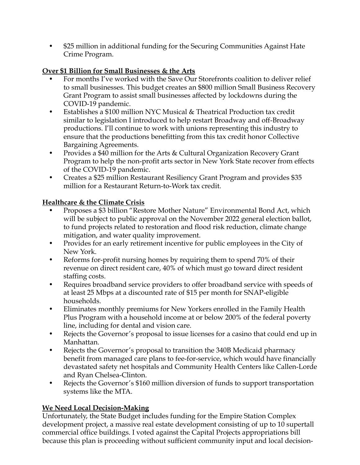• \$25 million in additional funding for the Securing Communities Against Hate Crime Program.

## **Over \$1 Billion for Small Businesses & the Arts**

- For months I've worked with the Save Our Storefronts coalition to deliver relief to small businesses. This budget creates an \$800 million Small Business Recovery Grant Program to assist small businesses affected by lockdowns during the COVID-19 pandemic.
- Establishes a \$100 million NYC Musical & Theatrical Production tax credit similar to legislation I introduced to help restart Broadway and off-Broadway productions. I'll continue to work with unions representing this industry to ensure that the productions benefitting from this tax credit honor Collective Bargaining Agreements.
- Provides a \$40 million for the Arts & Cultural Organization Recovery Grant Program to help the non-profit arts sector in New York State recover from effects of the COVID-19 pandemic.
- Creates a \$25 million Restaurant Resiliency Grant Program and provides \$35 million for a Restaurant Return-to-Work tax credit.

## **Healthcare & the Climate Crisis**

- Proposes a \$3 billion "Restore Mother Nature" Environmental Bond Act, which will be subject to public approval on the November 2022 general election ballot, to fund projects related to restoration and flood risk reduction, climate change mitigation, and water quality improvement.
- Provides for an early retirement incentive for public employees in the City of New York.
- Reforms for-profit nursing homes by requiring them to spend 70% of their revenue on direct resident care, 40% of which must go toward direct resident staffing costs.
- Requires broadband service providers to offer broadband service with speeds of at least 25 Mbps at a discounted rate of \$15 per month for SNAP-eligible households.
- Eliminates monthly premiums for New Yorkers enrolled in the Family Health Plus Program with a household income at or below 200% of the federal poverty line, including for dental and vision care.
- Rejects the Governor's proposal to issue licenses for a casino that could end up in Manhattan.
- Rejects the Governor's proposal to transition the 340B Medicaid pharmacy benefit from managed care plans to fee-for-service, which would have financially devastated safety net hospitals and Community Health Centers like Callen-Lorde and Ryan Chelsea-Clinton.
- Rejects the Governor's \$160 million diversion of funds to support transportation systems like the MTA.

# **We Need Local Decision-Making**

Unfortunately, the State Budget includes funding for the Empire Station Complex development project, a massive real estate development consisting of up to 10 supertall commercial office buildings. I voted against the Capital Projects appropriations bill because this plan is proceeding without sufficient community input and local decision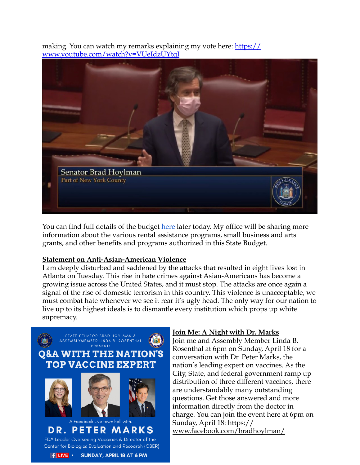making. You can watch my remarks explaining my vote here: [https://](https://www.youtube.com/watch?v=VUeIdzUYtqI) [www.youtube.com/watch?v=VUeIdzUYtqI](https://www.youtube.com/watch?v=VUeIdzUYtqI)



You can find full details of the budget [here](http://email.sts.nysenate.gov/ls/click?upn=-2FUeB4rNcocRHNJExEbkInheFiIKVVveAof-2Bz5ZzXjCA-3DQRmq_amvlkCylwMEtoX93xhPd-2BOvwUUAbDOTW2gE3tcg3d4zO8uuhwbV7nnTTp97OqsBaf-2FWbVSqR7uWcrRkRVBGWppO4gTeFpG-2BtaJBm4A2XF8OpNv0pEt4ELOQQM91ib8AnNOrNa62PflyfrIN-2FMdnJrQQCWQOsVAn5KlunOkbkG4U7FJhI5cmS7DmL4rRXbgxMoHoe3wvDLJMBUVF4nXbOUNMp1oH10YNQL4GyqW77MAdqLZnJAv75UnLWe4lTquV6MWmhszI7-2FP5NguXJvvk0hsUqobEnIaNX133B0SYL4ekwrnovMWJnErGpLtobfIbo4Ht1KTSyEnfNWhgxw-2FdEjLgMRuUGw5RK55HivAqwheLDdfbAHrhijccTsZmbf-2B-2Fw9Eb24oxs-2FG74nFszuyicu-2FLrXngd-2FgGxANF7pMsnlSsMoBq73n7W3vg2QUvqKvBfOmkiJFabbYK0zUjHhiXhERD-2BhSlVd6Y8Xb8FE6CcVpE7NpUz30L6USCYhCWkrqn4XRmKtdCPWB0vKChV6xa7Ag-3D-3D) later today. My office will be sharing more information about the various rental assistance programs, small business and arts grants, and other benefits and programs authorized in this State Budget.

#### **Statement on Anti-Asian-American Violence**

I am deeply disturbed and saddened by the attacks that resulted in eight lives lost in Atlanta on Tuesday. This rise in hate crimes against Asian-Americans has become a growing issue across the United States, and it must stop. The attacks are once again a signal of the rise of domestic terrorism in this country. This violence is unacceptable, we must combat hate whenever we see it rear it's ugly head. The only way for our nation to live up to its highest ideals is to dismantle every institution which props up white supremacy.



#### **Join Me: A Night with Dr. Marks**

Join me and Assembly Member Linda B. Rosenthal at 6pm on Sunday, April 18 for a conversation with Dr. Peter Marks, the nation's leading expert on vaccines. As the City, State, and federal government ramp up distribution of three different vaccines, there are understandably many outstanding questions. Get those answered and more information directly from the doctor in charge. You can join the event here at 6pm on Sunday, April 18: <u>[https://](https://www.facebook.com/bradhoylman/)</u> [www.facebook.com/bradhoylman/](https://www.facebook.com/bradhoylman/)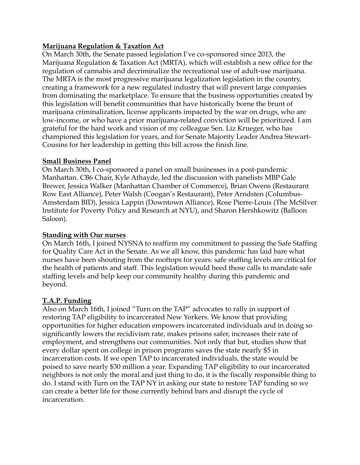#### **Marijuana Regulation & Taxation Act**

On March 30th, the Senate passed legislation I've co-sponsored since 2013, the Marijuana Regulation & Taxation Act (MRTA), which will establish a new office for the regulation of cannabis and decriminalize the recreational use of adult-use marijuana. The MRTA is the most progressive marijuana legalization legislation in the country, creating a framework for a new regulated industry that will prevent large companies from dominating the marketplace. To ensure that the business opportunities created by this legislation will benefit communities that have historically borne the brunt of marijuana criminalization, license applicants impacted by the war on drugs, who are low-income, or who have a prior marijuana-related conviction will be prioritized. I am grateful for the hard work and vision of my colleague Sen. Liz Krueger, who has championed this legislation for years, and for Senate Majority Leader Andrea Stewart-Cousins for her leadership in getting this bill across the finish line.

#### **Small Business Panel**

On March 30th, I co-sponsored a panel on small businesses in a post-pandemic Manhattan. CB6 Chair, Kyle Athayde, led the discussion with panelists MBP Gale Brewer, Jessica Walker (Manhattan Chamber of Commerce), Brian Owens (Restaurant Row East Alliance), Peter Walsh (Coogan's Restaurant), Peter Arndsten (Columbus-Amsterdam BID), Jessica Lappin (Downtown Alliance), Rose Pierre-Louis (The McSilver Institute for Poverty Policy and Research at NYU), and Sharon Hershkowitz (Balloon Saloon).

#### **Standing with Our nurses**

On March 16th, I joined NYSNA to reaffirm my commitment to passing the Safe Staffing for Quality Care Act in the Senate. As we all know, this pandemic has laid bare what nurses have been shouting from the rooftops for years: safe staffing levels are critical for the health of patients and staff. This legislation would heed those calls to mandate safe staffing levels and help keep our community healthy during this pandemic and beyond.

## **T.A.P. Funding**

Also on March 16th, I joined "Turn on the TAP" advocates to rally in support of restoring TAP eligibility to incarcerated New Yorkers. We know that providing opportunities for higher education empowers incarcerated individuals and in doing so significantly lowers the recidivism rate, makes prisons safer, increases their rate of employment, and strengthens our communities. Not only that but, studies show that every dollar spent on college in prison programs saves the state nearly \$5 in incarceration costs. If we open TAP to incarcerated individuals, the state would be poised to save nearly \$30 million a year. Expanding TAP eligibility to our incarcerated neighbors is not only the moral and just thing to do, it is the fiscally responsible thing to do. I stand with Turn on the TAP NY in asking our state to restore TAP funding so we can create a better life for those currently behind bars and disrupt the cycle of incarceration.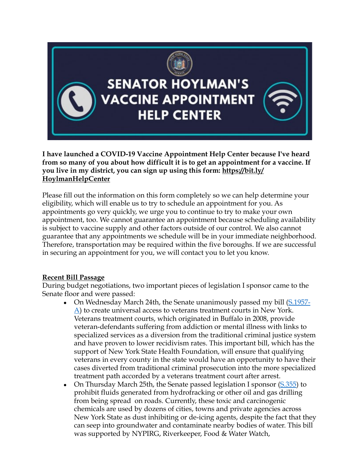

**SENATOR HOYLMAN'S ACCINE APPOINTMENT HELP CENTER** 

**I have launched a COVID-19 Vaccine Appointment Help Center because I've heard from so many of you about how difficult it is to get an appointment for a vaccine. If you live in my district, you can sign up using this form: [https://bit.ly/](https://bit.ly/HoylmanHelpCenter) [HoylmanHelpCenter](https://bit.ly/HoylmanHelpCenter)**

Please fill out the information on this form completely so we can help determine your eligibility, which will enable us to try to schedule an appointment for you. As appointments go very quickly, we urge you to continue to try to make your own appointment, too. We cannot guarantee an appointment because scheduling availability is subject to vaccine supply and other factors outside of our control. We also cannot guarantee that any appointments we schedule will be in your immediate neighborhood. Therefore, transportation may be required within the five boroughs. If we are successful in securing an appointment for you, we will contact you to let you know.

#### **Recent Bill Passage**

During budget negotiations, two important pieces of legislation I sponsor came to the Senate floor and were passed:

- On Wednesday March 24th, the Senate unanimously passed my bill ([S.1957-](https://www.nysenate.gov/legislation/bills/2021/S1957)  $\Delta$ ) to create universal access to veterans treatment courts in New York. Veterans treatment courts, which originated in Buffalo in 2008, provide veteran-defendants suffering from addiction or mental illness with links to specialized services as a diversion from the traditional criminal justice system and have proven to lower recidivism rates. This important bill, which has the support of New York State Health Foundation, will ensure that qualifying veterans in every county in the state would have an opportunity to have their cases diverted from traditional criminal prosecution into the more specialized treatment path accorded by a veterans treatment court after arrest.
- On Thursday March 25th, the Senate passed legislation I sponsor ([S.355](https://www.nysenate.gov/legislation/bills/2021/s355)) to prohibit fluids generated from hydrofracking or other oil and gas drilling from being spread on roads. Currently, these toxic and carcinogenic chemicals are used by dozens of cities, towns and private agencies across New York State as dust inhibiting or de-icing agents, despite the fact that they can seep into groundwater and contaminate nearby bodies of water. This bill was supported by NYPIRG, Riverkeeper, Food & Water Watch,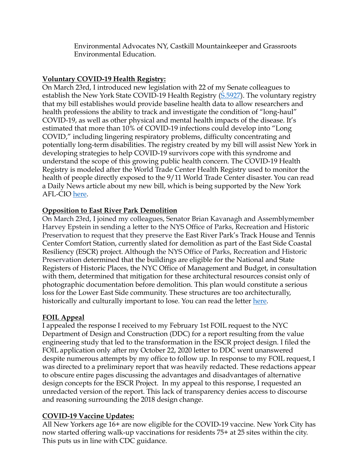Environmental Advocates NY, Castkill Mountainkeeper and Grassroots Environmental Education.

## **Voluntary COVID-19 Health Registry:**

On March 23rd, I introduced new legislation with 22 of my Senate colleagues to establish the New York State COVID-19 Health Registry ([S.5927](https://www.nysenate.gov/legislation/bills/2021/S5927)). The voluntary registry that my bill establishes would provide baseline health data to allow researchers and health professions the ability to track and investigate the condition of "long-haul" COVID-19, as well as other physical and mental health impacts of the disease. It's estimated that more than 10% of COVID-19 infections could develop into "Long COVID," including lingering respiratory problems, difficulty concentrating and potentially long-term disabilities. The registry created by my bill will assist New York in developing strategies to help COVID-19 survivors cope with this syndrome and understand the scope of this growing public health concern. The COVID-19 Health Registry is modeled after the World Trade Center Health Registry used to monitor the health of people directly exposed to the 9/11 World Trade Center disaster. You can read a Daily News article about my new bill, which is being supported by the New York AFL-CIO [here](https://www.nydailynews.com/coronavirus/ny-covid-state-registry-hoylman-20210322-v2kn5hmhh5dc5huuzjgw67ymvu-story.html).

## **Opposition to East River Park Demolition**

On March 23rd, I joined my colleagues, Senator Brian Kavanagh and Assemblymember Harvey Epstein in sending a letter to the NYS Office of Parks, Recreation and Historic Preservation to request that they preserve the East River Park's Track House and Tennis Center Comfort Station, currently slated for demolition as part of the East Side Coastal Resiliency (ESCR) project. Although the NYS Office of Parks, Recreation and Historic Preservation determined that the buildings are eligible for the National and State Registers of Historic Places, the NYC Office of Management and Budget, in consultation with them, determined that mitigation for these architectural resources consist only of photographic documentation before demolition. This plan would constitute a serious loss for the Lower East Side community. These structures are too architecturally, historically and culturally important to lose. You can read the letter [here.](https://drive.google.com/file/d/1q1HXoZ6A2qQAy0zXGT7TRb4Qbps49Lor/view?usp=sharing)

## **FOIL Appeal**

I appealed the response I received to my February 1st FOIL request to the NYC Department of Design and Construction (DDC) for a report resulting from the value engineering study that led to the transformation in the ESCR project design. I filed the FOIL application only after my October 22, 2020 letter to DDC went unanswered despite numerous attempts by my office to follow up. In response to my FOIL request, I was directed to a preliminary report that was heavily redacted. These redactions appear to obscure entire pages discussing the advantages and disadvantages of alternative design concepts for the ESCR Project. In my appeal to this response, I requested an unredacted version of the report. This lack of transparency denies access to discourse and reasoning surrounding the 2018 design change.

# **COVID-19 Vaccine Updates:**

All New Yorkers age 16+ are now eligible for the COVID-19 vaccine. New York City has now started offering walk-up vaccinations for residents 75+ at 25 sites within the city. This puts us in line with CDC guidance.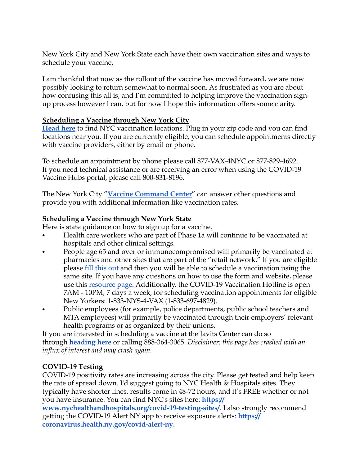New York City and New York State each have their own vaccination sites and ways to schedule your vaccine.

I am thankful that now as the rollout of the vaccine has moved forward, we are now possibly looking to return somewhat to normal soon. As frustrated as you are about how confusing this all is, and I'm committed to helping improve the vaccination signup process however I can, but for now I hope this information offers some clarity.

## **Scheduling a Vaccine through New York City**

**[Head here](http://email.sts.nysenate.gov/ls/click?upn=okrevnDuMx7BRChkkqyi7OLHT7hRS-2BEB7HLIgUcgOhw743Fge7heu787TW73GauIRztg_amvlkCylwMEtoX93xhPd-2BOvwUUAbDOTW2gE3tcg3d4zO8uuhwbV7nnTTp97OqsBaf-2FWbVSqR7uWcrRkRVBGWppO4gTeFpG-2BtaJBm4A2XF8OpNv0pEt4ELOQQM91ib8Ans-2BrolAc-2B3XGpJe3HQk1JPdUhVAhKY4w04L6NEuXJk9giGIpXuuc6T9qiTUyl0XlVZa-2FCXVw6CfSmPCKf1TGztoaeGwv4szMvXmadOrwmRfZkEGOzfcUMebMnuvYmnil78H89PXhOseJhxmG8LPUtM5DpkHZv5RtasfCqzkE3yG-2BmogetpSg3gZpGzfLnlJeRAGVTmMZdy8cT7-2FBk-2F-2FxG8Cgts12Lzh3Bdp5SICKoXMlwwymEpH4vVXRPENdfZ4LfVUREEe0wuyNL4J3E2EQ2IH4IPAi0R80UCg707GL0dioGK297N67bFa3ErSTpSRmkIzUlg2Ygl1QwWUct5XBS8f5qgLjBu746xxOWqL-2BMmgk9oESawBn4T-2BVtLHk4-2Fq6eyriuIT6xysmF3EQtGrFfFQ-3D-3D)** to find NYC vaccination locations. Plug in your zip code and you can find locations near you. If you are currently eligible, you can schedule appointments directly with vaccine providers, either by email or phone.

To schedule an appointment by phone please call 877-VAX-4NYC or 877-829-4692. If you need technical assistance or are receiving an error when using the COVID-19 Vaccine Hubs portal, please call 800-831-8196.

The New York City "**[Vaccine Command Center](http://email.sts.nysenate.gov/ls/click?upn=-2FUeB4rNcocRHNJExEbkInhmgg2hkCiG8LCEu-2F6nqR0VJkBrd24q2GWDf9IOX9njUaSULQngbQ13oV3iJx3tzfV8ym0SOypXsFrLXxL5TrrI-3D1X7L_amvlkCylwMEtoX93xhPd-2BOvwUUAbDOTW2gE3tcg3d4zO8uuhwbV7nnTTp97OqsBaf-2FWbVSqR7uWcrRkRVBGWppO4gTeFpG-2BtaJBm4A2XF8OpNv0pEt4ELOQQM91ib8Ans-2BrolAc-2B3XGpJe3HQk1JPdUhVAhKY4w04L6NEuXJk9giGIpXuuc6T9qiTUyl0XlVZa-2FCXVw6CfSmPCKf1TGztoaeGwv4szMvXmadOrwmRfZkEGOzfcUMebMnuvYmnil78H89PXhOseJhxmG8LPUtM5DpkHZv5RtasfCqzkE3yG8QmuelK08SK8O6W8sMPH1Tx0ql-2BQG5aBkB-2Bai6LKpPrmdGtto7uL31ET-2BS2Ojd5iZPbnvih-2FN4FqN-2B7CuYJmTgi92K036GWnUSxIL5ADQGOBjJqrH8S1B3JlpyZe0zOcvUx51ABQsFe1JkNZg5Lz-2FHPOFckW1QcoC8WKQ1ZIfdn9jD-2F4bScOliAwCo7o7486TXrbYawnwXjHV5ZJ3qoc6NNbumVWphnqH6mOXx-2FxDEPg-3D-3D)**" can answer other questions and provide you with additional information like vaccination rates.

## **Scheduling a Vaccine through New York State**

Here is state guidance on how to sign up for a vaccine.

- **•** Health care workers who are part of Phase 1a will continue to be vaccinated at hospitals and other clinical settings.
- **•** People age 65 and over or immunocompromised will primarily be vaccinated at pharmacies and other sites that are part of the "retail network." If you are eligible please [fill this out](http://email.sts.nysenate.gov/ls/click?upn=hQB1rI1fzFBn3mMhkxQ2ZocRqWTRDvfvUkfTg-2BjhGozpPrlKTvCmWjIU91CJGStJzh5ozyDZdRtk9D4SlmdQ7g-3D-3DuE-t_amvlkCylwMEtoX93xhPd-2BOvwUUAbDOTW2gE3tcg3d4zO8uuhwbV7nnTTp97OqsBaf-2FWbVSqR7uWcrRkRVBGWppO4gTeFpG-2BtaJBm4A2XF8OpNv0pEt4ELOQQM91ib8Ans-2BrolAc-2B3XGpJe3HQk1JPdUhVAhKY4w04L6NEuXJk9giGIpXuuc6T9qiTUyl0XlVZa-2FCXVw6CfSmPCKf1TGztoaeGwv4szMvXmadOrwmRfZkEGOzfcUMebMnuvYmnil78H89PXhOseJhxmG8LPUtM5DpkHZv5RtasfCqzkE3yG-2Bu-2BSYgciM-2BVxIs37XOWrzGVMfEWB-2BGkzGvD-2BRJ2NYDaROv6QlZDGvlNHj9gkDO5S-2FrVAUV-2BYKefOPDFz2MrtoEAkQd8s6X-2BbSXuQKaNpDEe2ap2WAYZfMf4So83FLu1M3OIGbWOZyvKpYZdNVGybt73UBn8dsBy0UD4aRBbIJxbu-2B2SmgI6DBgQKEbobE9oO0s18t7BSzuA8I3EMqWaCTgLtMyxaF2-2BAYN-2Bl3wU8Y-2B9Q-3D-3D) and then you will be able to schedule a vaccination using the same site. If you have any questions on how to use the form and website, please use this [resource page.](http://email.sts.nysenate.gov/ls/click?upn=NXoW66Uxq2lz19nq-2B3B6OE3diGTBXuS9BBHALQZs1xK5UNGJcs-2BFOK-2B4VOWCU8xJhcRWxIqV3Dh-2BQjPW3szKAYME02bCBzhKqNbLpMVYsMOog63F5sbCznH1DJRKwoR3zRrIFtMKglB54nvut9CdtZ-2F-2BRFWZ2qzB-2FH1uGSFf880-3DMvQk_amvlkCylwMEtoX93xhPd-2BOvwUUAbDOTW2gE3tcg3d4zO8uuhwbV7nnTTp97OqsBaf-2FWbVSqR7uWcrRkRVBGWppO4gTeFpG-2BtaJBm4A2XF8OpNv0pEt4ELOQQM91ib8Ans-2BrolAc-2B3XGpJe3HQk1JPdUhVAhKY4w04L6NEuXJk9giGIpXuuc6T9qiTUyl0XlVZa-2FCXVw6CfSmPCKf1TGztoaeGwv4szMvXmadOrwmRfZkEGOzfcUMebMnuvYmnil78H89PXhOseJhxmG8LPUtM5DpkHZv5RtasfCqzkE3yG8QEHd2qRtz1wZ1rlgp-2FQijaj9tzQmN1gagnFZva4WkgzvYfW2CgX23dWTs9uCn2sKjS6MEOjoez9arSO0p-2BT93MTsXJw1o2Tsu-2F2EiQFMNsg4csLOE6-2FqOKgjzD1lbSuaX935Dpj5Xic-2FazfrYst6UQ0AEVzz2SsZMQ9wWBCRrrewuJuB4HwIR-2B1JMxtSU9LhmV0NEywm4b09ZxU0gYac9LUPcJck25nSLuLa-2FthDVFA-3D-3D) Additionally, the COVID-19 Vaccination Hotline is open 7AM - 10PM, 7 days a week, for scheduling vaccination appointments for eligible New Yorkers: 1-833-NYS-4-VAX (1-833-697-4829).
- **•** Public employees (for example, police departments, public school teachers and MTA employees) will primarily be vaccinated through their employers' relevant health programs or as organized by their unions.

If you are interested in scheduling a vaccine at the Javits Center can do so through **[heading here](http://email.sts.nysenate.gov/ls/click?upn=4Y5aWVJQq-2BKcRdgVw7l0Tii0DGBnULz5nHWN9OCFB5-2F0-2F5jwI1vAhY4dFbmGUcHCfPfjtOmft47tC0qGWer-2FGAJqcAm-2FGCGmrVdCmm2iiFI-3DEttm_amvlkCylwMEtoX93xhPd-2BOvwUUAbDOTW2gE3tcg3d4zO8uuhwbV7nnTTp97OqsBaf-2FWbVSqR7uWcrRkRVBGWppO4gTeFpG-2BtaJBm4A2XF8OpNv0pEt4ELOQQM91ib8Ans-2BrolAc-2B3XGpJe3HQk1JPdUhVAhKY4w04L6NEuXJk9giGIpXuuc6T9qiTUyl0XlVZa-2FCXVw6CfSmPCKf1TGztoaeGwv4szMvXmadOrwmRfZkEGOzfcUMebMnuvYmnil78H89PXhOseJhxmG8LPUtM5DpkHZv5RtasfCqzkE3yG9Eqkla8tVxMQkQ4ZyDlRxeQgRI-2B83oQzV3NYcXasp9EbrkRk81mWGZuxsRWsZDqZ9hWXz9kgSJCVH0ZN-2FKHdJw1vbhcbP9s01E6zNLeYnRyG-2FP1b6RQcIpvEiVBvNeHTy093iEQUR8MSRCwhxAwiQ6X-2BLYdEZj-2F-2FBcrrNj19dSYjWNxVyUkVWkWYhOJSwyTsH27o-2FeG33pyM83Hznx4LqqvKV5YQ5e25wHuUYuTgwZBw-3D-3D)** or calling 888-364-3065. *Disclaimer: this page has crashed with an influx of interest and may crash again.* 

# **COVID-19 Testing**

COVID-19 positivity rates are increasing across the city. Please get tested and help keep the rate of spread down. I'd suggest going to NYC Health & Hospitals sites. They typically have shorter lines, results come in 48-72 hours, and it's FREE whether or not [you have insurance. You can find NYC](http://email.sts.nysenate.gov/ls/click?upn=NB49NBK8G-2FaeYC0T4MHapDicI66z4g-2FZwOo-2BHvhLKXOk3xM3qsCYCnevX51ttSdaWc-2FrXEl3C-2BaVFnJ1CQ3S8e-2FPr1Z54hI3mluNWho6iIZd-2FYZn0yMWOsrloopEHsQpF9Tv7zvS0ae-2FIqjOsy2Rbm22iWPQqBvS3VYG01eyQJvwMRSUDzljDHklA4QdELEpY7NO78lyOgMyNnMIS2i7VrCS21cDjT-2F20Z2mwbOrUP9FKPy65qc0bHVdj1o0EXvUrNk-2Ff7o56EHbJT6gFy8fHbTdqyaG3ALURXlsOxSmVUWX0fyksA9yrCByJqg8K3SnbrkyvufaRKfvafTygU8lQE5hxyHoLA18npTQYCPUAOHpBBlicrPMNK23VX4l-2FHKphhs9EbJn3kExk95SL0HIFuClLgKiVlswmjAnbhpFZNsVyrGdrhWoDdnebwcwOPHlfV44ViMGef1-2BhSrrETsvV81XGFS9yXAcmQEb6IEVUmPJkP5NsgYNhq17ZxQJhRcHv6e-2FA4KsDBn0NXhXumWieAYUdYDS5Z0A-2BFOvmxjITFWRZTOIGPzjY9nYGQPoXfvGdM2RhXjt0TCuH2Cy5YFzTDndN3v-2B-2F5B9hi4fUwYxAZRHpmfQt4ij0NklRLoTInAbZ26xLHs-2FXT8oAXZsQfKG0uhdl4quppi5wVEUaixECGvS6u8htmDnTMivJWkSJF0aQi8sq4UdOSM3h2x7P6wLM8Al7kInEthbaPZdkL2cATwLfYe28IH-2BzKnUfidAP23-2BJYX64P89d9o1W13OXR25sjIYUXZcEhBD77P8ompcCmWNIltijLVO10hqM2MI1FIdbg8EPSjXitSZvtA57-2FWXRyUKWUDXtnBG-2FrTjNb-2FO5aWZxC-2BRjLa4pOU4XSDvPun99BAWnxY1PKel03VhfRQQBf75rVSoV1GHS3PTkfyB4ycPtadLupAl5cyVjMyHhBmgE9qQex9R5ebfPhFNmrdxM4KDXqBYq7KBlKiyGVFcVyJtgeqeSgv1HmqlmHIyBQVE5LTX3gs81r7ANHvoYRyJomLnM14FNsGaosD5YmsCxBkTLK1C4gXDPf0c4VU9-2FzxHO644oYLRXh2-2ByOrSIRBuEhELMeCTR4CJ04v-2F31iBq3c2UWTyZCUKzq5WCkMGE6xVWLjT-2Bo0y6r61soKv0MAP7D27O2Hkp48OjFTHXndhfJqkITI-2F8-2FyXD88RU-2FXSJ6bCXPxvFxDtruaAXvVPC1ljb3sbJHu1Z6ku0ovIBBnv77AyypKw9LF-2Bw3kpaHN-2Ff6jSY6Gsq-2FpYyaZ9PtvSZgtVvtJaNKpde0-2FwaK1wE-2FhZ4PA3SJ6svtVpPdsOpa7hU-2F5nK-2FKLgdD0NgpqBRD1FtoBcBjQEB6J6jAERh54DswkF7qR-2B6OGSTi6CEPKd5OWUpLZ-2BqCQZ9LqHztKXSfhohSsJz73shXhzncbj-2Bc3E1beg29JiYOtlXBb6MFpHb7dRXRafxKvMhXR78HowM7I0PXqCsOCyK1nOd3Zma7qxRXIESPKcmaxNj9LLG8MBkObIu3SMFXgp6ng8qUNYu9bkCKawiMf1YO2TmyO2vwRJEm8csyhzGPT2Z5f728E8XKpgMx1OsfkNhmPsx0YAITJKm1x3PHNa6-2FMRlxr-2FivZrzVkJgHYCiGcQYsGdiTv41Q6gt6Ejzn4DjtoS7WCzTOJo9JNHSduNeWEVvBM23-2B5CFCWPrUn47LWRzH2g0O3t0eSuArnLVy-2FpR1-2FOVKh-2FI9gQzEIAz8f8SfnNzourRJZKlw4DBgA7Sa4f3miBieukXl5V38YN7p5FTacA4Cb2hWSHTO2ZY8LWX2voWkr0Kx-2FPQ0dMaV7mkp43BfHSMClzowQf2QS4uML5Rt78sfT4zki0xVhZUCPHZANHULM435HMd6kIorex6hrv-2FADHSU2O-2FUT8eRjXKL46FOzlr95zGA0gqbaZYT)'[s sites here:](http://email.sts.nysenate.gov/ls/click?upn=NB49NBK8G-2FaeYC0T4MHapDicI66z4g-2FZwOo-2BHvhLKXOk3xM3qsCYCnevX51ttSdaWc-2FrXEl3C-2BaVFnJ1CQ3S8e-2FPr1Z54hI3mluNWho6iIZd-2FYZn0yMWOsrloopEHsQpF9Tv7zvS0ae-2FIqjOsy2Rbm22iWPQqBvS3VYG01eyQJvwMRSUDzljDHklA4QdELEpY7NO78lyOgMyNnMIS2i7VrCS21cDjT-2F20Z2mwbOrUP9FKPy65qc0bHVdj1o0EXvUrNk-2Ff7o56EHbJT6gFy8fHbTdqyaG3ALURXlsOxSmVUWX0fyksA9yrCByJqg8K3SnbrkyvufaRKfvafTygU8lQE5hxyHoLA18npTQYCPUAOHpBBlicrPMNK23VX4l-2FHKphhs9EbJn3kExk95SL0HIFuClLgKiVlswmjAnbhpFZNsVyrGdrhWoDdnebwcwOPHlfV44ViMGef1-2BhSrrETsvV81XGFS9yXAcmQEb6IEVUmPJkP5NsgYNhq17ZxQJhRcHv6e-2FA4KsDBn0NXhXumWieAYUdYDS5Z0A-2BFOvmxjITFWRZTOIGPzjY9nYGQPoXfvGdM2RhXjt0TCuH2Cy5YFzTDndN3v-2B-2F5B9hi4fUwYxAZRHpmfQt4ij0NklRLoTInAbZ26xLHs-2FXT8oAXZsQfKG0uhdl4quppi5wVEUaixECGvS6u8htmDnTMivJWkSJF0aQi8sq4UdOSM3h2x7P6wLM8Al7kInEthbaPZdkL2cATwLfYe28IH-2BzKnUfidAP23-2BJYX64P89d9o1W13OXR25sjIYUXZcEhBD77P8ompcCmWNIltijLVO10hqM2MI1FIdbg8EPSjXitSZvtA57-2FWXRyUKWUDXtnBG-2FrTjNb-2FO5aWZxC-2BRjLa4pOU4XSDvPun99BAWnxY1PKel03VhfRQQBf75rVSoV1GHS3PTkfyB4ycPtadLupAl5cyVjMyHhBmgE9qQex9R5ebfPhFNmrdxM4KDXqBYq7KBlKiyGVFcVyJtgeqeSgv1HmqlmHIyBQVE5LTX3gs81r7ANHvoYRyJomLnM14FNsGaosD5YmsCxBkTLK1C4gXDPf0c4VU9-2FzxHO644oYLRXh2-2ByOrSIRBuEhELMeCTR4CJ04v-2F31iBq3c2UWTyZCUKzq5WCkMGE6xVWLjT-2Bo0y6r61soKv0MAP7D27O2Hkp48OjFTHXndhfJqkITI-2F8-2FyXD88RU-2FXSJ6bCXPxvFxDtruaAXvVPC1ljb3sbJHu1Z6ku0ovIBBnv77AyypKw9LF-2Bw3kpaHN-2Ff6jSY6Gsq-2FpYyaZ9PtvSZgtVvtJaNKpde0-2FwaK1wE-2FhZ4PA3SJ6svtVpPdsOpa7hU-2F5nK-2FKLgdD0NgpqBRD1FtoBcBjQEB6J6jAERh54DswkF7qR-2B6OGSTi6CEPKd5OWUpLZ-2BqCQZ9LqHztKXSfhohSsJz73shXhzncbj-2Bc3E1beg29JiYOtlXBb6MFpHb7dRXRafxKvMhXR78HowM7I0PXqCsOCyK1nOd3Zma7qxRXIESPKcmaxNj9LLG8MBkObIu3SMFXgp6ng8qUNYu9bkCKawiMf1YO2TmyO2vwRJEm8csyhzGPT2Z5f728E8XKpgMx1OsfkNhmPsx0YAITJKm1x3PHNa6-2FMRlxr-2FivZrzVkJgHYCiGcQYsGdiTv41Q6gt6Ejzn4DjtoS7WCzTOJo9JNHSduNeWEVvBM23-2B5CFCWPrUn47LWRzH2g0O3t0eSuArnLVy-2FpR1-2FOVKh-2FI9gQzEIAz8f8SfnNzourRJZKlw4DBgA7Sa4f3miBieukXl5V38YN7p5FTacA4Cb2hWSHTO2ZY8LWX2voWkr0Kx-2FPQ0dMaV7mkp43BfHSMClzowQf2QS4uML5Rt78sfT4zki0xVhZUCPHZANHULM435HMd6kIorex6hrv-2FADHSU2O-2FUT8eRjXKL46FOzlr95zGA0gqbaZYT) **[https://](http://email.sts.nysenate.gov/ls/click?upn=NB49NBK8G-2FaeYC0T4MHapDicI66z4g-2FZwOo-2BHvhLKXOk3xM3qsCYCnevX51ttSdaWc-2FrXEl3C-2BaVFnJ1CQ3S8e-2FPr1Z54hI3mluNWho6iIZd-2FYZn0yMWOsrloopEHsQpF9Tv7zvS0ae-2FIqjOsy2Rbm22iWPQqBvS3VYG01eyQJvwMRSUDzljDHklA4QdELEpY7NO78lyOgMyNnMIS2i7VrCS21cDjT-2F20Z2mwbOrUP9FKPy65qc0bHVdj1o0EXvUrNk-2Ff7o56EHbJT6gFy8fHbTdqyaG3ALURXlsOxSmVUWX0fyksA9yrCByJqg8K3SnbrkyvufaRKfvafTygU8lQE5hxyHoLA18npTQYCPUAOHpBBlicrPMNK23VX4l-2FHKphhs9EbJn3kExk95SL0HIFuClLgKiVlswmjAnbhpFZNsVyrGdrhWoDdnebwcwOPHlfV44ViMGef1-2BhSrrETsvV81XGFS9yXAcmQEb6IEVUmPJkP5NsgYNhq17ZxQJhRcHv6e-2FA4KsDBn0NXhXumWieAYUdYDS5Z0A-2BFOvmxjITFWRZTOIGPzjY9nYGQPoXfvGdM2RhXjt0TCuH2Cy5YFzTDndN3v-2B-2F5B9hi4fUwYxAZRHpmfQt4ij0NklRLoTInAbZ26xLHs-2FXT8oAXZsQfKG0uhdl4quppi5wVEUaixECGvS6u8htmDnTMivJWkSJF0aQi8sq4UdOSM3h2x7P6wLM8Al7kInEthbaPZdkL2cATwLfYe28IH-2BzKnUfidAP23-2BJYX64P89d9o1W13OXR25sjIYUXZcEhBD77P8ompcCmWNIltijLVO10hqM2MI1FIdbg8EPSjXitSZvtA57-2FWXRyUKWUDXtnBG-2FrTjNb-2FO5aWZxC-2BRjLa4pOU4XSDvPun99BAWnxY1PKel03VhfRQQBf75rVSoV1GHS3PTkfyB4ycPtadLupAl5cyVjMyHhBmgE9qQex9R5ebfPhFNmrdxM4KDXqBYq7KBlKiyGVFcVyJtgeqeSgv1HmqlmHIyBQVE5LTX3gs81r7ANHvoYRyJomLnM14FNsGaosD5YmsCxBkTLK1C4gXDPf0c4VU9-2FzxHO644oYLRXh2-2ByOrSIRBuEhELMeCTR4CJ04v-2F31iBq3c2UWTyZCUKzq5WCkMGE6xVWLjT-2Bo0y6r61soKv0MAP7D27O2Hkp48OjFTHXndhfJqkITI-2F8-2FyXD88RU-2FXSJ6bCXPxvFxDtruaAXvVPC1ljb3sbJHu1Z6ku0ovIBBnv77AyypKw9LF-2Bw3kpaHN-2Ff6jSY6Gsq-2FpYyaZ9PtvSZgtVvtJaNKpde0-2FwaK1wE-2FhZ4PA3SJ6svtVpPdsOpa7hU-2F5nK-2FKLgdD0NgpqBRD1FtoBcBjQEB6J6jAERh54DswkF7qR-2B6OGSTi6CEPKd5OWUpLZ-2BqCQZ9LqHztKXSfhohSsJz73shXhzncbj-2Bc3E1beg29JiYOtlXBb6MFpHb7dRXRafxKvMhXR78HowM7I0PXqCsOCyK1nOd3Zma7qxRXIESPKcmaxNj9LLG8MBkObIu3SMFXgp6ng8qUNYu9bkCKawiMf1YO2TmyO2vwRJEm8csyhzGPT2Z5f728E8XKpgMx1OsfkNhmPsx0YAITJKm1x3PHNa6-2FMRlxr-2FivZrzVkJgHYCiGcQYsGdiTv41Q6gt6Ejzn4DjtoS7WCzTOJo9JNHSduNeWEVvBM23-2B5CFCWPrUn47LWRzH2g0O3t0eSuArnLVy-2FpR1-2FOVKh-2FI9gQzEIAz8f8SfnNzourRJZKlw4DBgA7Sa4f3miBieukXl5V38YN7p5FTacA4Cb2hWSHTO2ZY8LWX2voWkr0Kx-2FPQ0dMaV7mkp43BfHSMClzowQf2QS4uML5Rt78sfT4zki0xVhZUCPHZANHULM435HMd6kIorex6hrv-2FADHSU2O-2FUT8eRjXKL46FOzlr95zGA0gqbaZYT)**

**[www.nychealthandhospitals.org/covid-19-testing-sites/](http://email.sts.nysenate.gov/ls/click?upn=NB49NBK8G-2FaeYC0T4MHapDicI66z4g-2FZwOo-2BHvhLKXOk3xM3qsCYCnevX51ttSdaWc-2FrXEl3C-2BaVFnJ1CQ3S8e-2FPr1Z54hI3mluNWho6iIZd-2FYZn0yMWOsrloopEHsQpF9Tv7zvS0ae-2FIqjOsy2Rbm22iWPQqBvS3VYG01eyQJvwMRSUDzljDHklA4QdELEpY7NO78lyOgMyNnMIS2i7VrCS21cDjT-2F20Z2mwbOrUP9FKPy65qc0bHVdj1o0EXvUrNk-2Ff7o56EHbJT6gFy8fHbTdqyaG3ALURXlsOxSmVUWX0fyksA9yrCByJqg8K3SnbrkyvufaRKfvafTygU8lQE5hxyHoLA18npTQYCPUAOHpBBlicrPMNK23VX4l-2FHKphhs9EbJn3kExk95SL0HIFuClLgKiVlswmjAnbhpFZNsVyrGdrhWoDdnebwcwOPHlfV44ViMGef1-2BhSrrETsvV81XGFS9yXAcmQEb6IEVUmPJkP5NsgYNhq17ZxQJhRcHv6e-2FA4KsDBn0NXhXumWieAYUdYDS5Z0A-2BFOvmxjITFWRZTOIGPzjY9nYGQPoXfvGdM2RhXjt0TCuH2Cy5YFzTDndN3v-2B-2F5B9hi4fUwYxAZRHpmfQt4ij0NklRLoTInAbZ26xLHs-2FXT8oAXZsQfKG0uhdl4quppi5wVEUaixECGvS6u8htmDnTMivJWkSJF0aQi8sq4UdOSM3h2x7P6wLM8Al7kInEthbaPZdkL2cATwLfYe28IH-2BzKnUfidAP23-2BJYX64P89d9o1W13OXR25sjIYUXZcEhBD77P8ompcCmWNIltijLVO10hqM2MI1FIdbg8EPSjXitSZvtA57-2FWXRyUKWUDXtnBG-2FrTjNb-2FO5aWZxC-2BRjLa4pOU4XSDvPun99BAWnxY1PKel03VhfRQQBf75rVSoV1GHS3PTkfyB4ycPtadLupAl5cyVjMyHhBmgE9qQex9R5ebfPhFNmrdxM4KDXqBYq7KBlKiyGVFcVyJtgeqeSgv1HmqlmHIyBQVE5LTX3gs81r7ANHvoYRyJomLnM14FNsGaosD5YmsCxBkTLK1C4gXDPf0c4VU9-2FzxHO644oYLRXh2-2ByOrSIRBuEhELMeCTR4CJ04v-2F31iBq3c2UWTyZCUKzq5WCkMGE6xVWLjT-2Bo0y6r61soKv0MAP7D27O2Hkp48OjFTHXndhfJqkITI-2F8-2FyXD88RU-2FXSJ6bCXPxvFxDtruaAXvVPC1ljb3sbJHu1Z6ku0ovIBBnv77AyypKw9LF-2Bw3kpaHN-2Ff6jSY6Gsq-2FpYyaZ9PtvSZgtVvtJaNKpde0-2FwaK1wE-2FhZ4PA3SJ6svtVpPdsOpa7hU-2F5nK-2FKLgdD0NgpqBRD1FtoBcBjQEB6J6jAERh54DswkF7qR-2B6OGSTi6CEPKd5OWUpLZ-2BqCQZ9LqHztKXSfhohSsJz73shXhzncbj-2Bc3E1beg29JiYOtlXBb6MFpHb7dRXRafxKvMhXR78HowM7I0PXqCsOCyK1nOd3Zma7qxRXIESPKcmaxNj9LLG8MBkObIu3SMFXgp6ng8qUNYu9bkCKawiMf1YO2TmyO2vwRJEm8csyhzGPT2Z5f728E8XKpgMx1OsfkNhmPsx0YAITJKm1x3PHNa6-2FMRlxr-2FivZrzVkJgHYCiGcQYsGdiTv41Q6gt6Ejzn4DjtoS7WCzTOJo9JNHSduNeWEVvBM23-2B5CFCWPrUn47LWRzH2g0O3t0eSuArnLVy-2FpR1-2FOVKh-2FI9gQzEIAz8f8SfnNzourRJZKlw4DBgA7Sa4f3miBieukXl5V38YN7p5FTacA4Cb2hWSHTO2ZY8LWX2voWkr0Kx-2FPQ0dMaV7mkp43BfHSMClzowQf2QS4uML5Rt78sfT4zki0xVhZUCPHZANHULM435HMd6kIorex6hrv-2FADHSU2O-2FUT8eRjXKL46FOzlr95zGA0gqbaZYT)**. I also strongly recommend getting the COVID-19 Alert NY app to receive exposure alerts: **[https://](http://email.sts.nysenate.gov/ls/click?upn=NB49NBK8G-2FaeYC0T4MHapDicI66z4g-2FZwOo-2BHvhLKXOk3xM3qsCYCnevX51ttSdaWc-2FrXEl3C-2BaVFnJ1CQ3S8e-2FPr1Z54hI3mluNWho6iIZd-2FYZn0yMWOsrloopEHsQpF9Tv7zvS0ae-2FIqjOsy2Rbm22iWPQqBvS3VYG01eyQJvwMRSUDzljDHklA4QdELEpY7NO78lyOgMyNnMIS2i7VrCS21cDjT-2F20Z2mwbOrUP9FKPy65qc0bHVdj1o0EXvUrNk-2Ff7o56EHbJT6gFy8fHbTdqyaG3ALURXlsOxSmVUWX0fyksA9yrCByJqg8K3SnbrkyvufaRKfvafTygU8lQE5hxyHoLA18npTQYCPUAOHpBBlicrPMNK23VX4l-2FHKphhs9EbJn3kExk95SL0HIFuClLgKiVlswmjAnbhpFZNsVyrGdrhWoDdnebwcwOPHlaHkDTfpnGus4fTvrI2ZURWRBVIlw2d3vSPVvoiOOAFEZf3P1ouSW8oTR1fq-2F6YSa9Uy2GI2h9h392DT-2FpqdO-2FfzGF7nyjSGzgqWYm0LWRHOJ6S9AlQE-2BljBdH-2FTgvOYfjlaOIfrQ18UfwbHa8uPHzF3lwD3z-2BtCLP7BsZaacqTuJUulQuFMHn3nGuPmVgCujFEnLWgWu8b1d4KXWifD1pWKe4zj2LTn6UCsTDeZNJwOJ7fvms3FmS0sG0pPl8Cg9BCzSTmcgCmMKb7yJDuZkI-2BTisAngTrYIBAJzzEyI2Oo4L3lOGaznKEqGZsGTlH0ce3CtVVk9OoLCsMCcSC5QPHbSe9am8sUjUIsFXgovaZ7hsQVDKtq8Jw41X8ZGjlGRkqimcM5SGZN5W1bhj9OpeH4DK6A7KqInNCv7TQ2ggO-2BHa41UYDivMo3S9F9Uhn9-2FjxACc5XUVgwLUHdl144-2BgSkMMpaHDXqXM5rG1Pc1x0MPRD0A8n1w3-2FMDdmtjyFy-2F8XxF9fFKNLThI0dek7X7WTJFSabLIZ29XHL0ewuJ2354wlGgJFYxV8UmHDewNNz17zvgWVgZv4nsJJJ7xwtqDSIVE9OlB15KUw8Ouy7fYgKsTruY6-2BnOx9IT-2FV-2BQgSeBqcIX5DF6O-2FYm94mr3RS1cWGeLz-2BaNZNE2GGqPEmRrIOss9zsLST1jlmGAfAq4s4VEbBGUkPMgf7V0WW8u29oJvcyhunhs3C5VNlGnru9quGmBAjt3kT8-2FrUOm9N3BDdkmeb4ut4I76-2F14etNZTuCXg7yHrMFb42TK6hufth8BEcD2g6AtQLAcWhMmHFxoaYB-2BbNbSrF9-2BSJ4yE3MQ9cxjB96aKw6EzHT9BlfxXuQff2-2BtyerNfwXsGdP3bU-2FbUArNikiyVk2sJiMIuthXDgQU5lNB3rSosKoB0DX-2FuaxgzILeDuRTblyG7gR7xTGiidMr0YmGYeZuxWcowdMgM1h6MfFBsGouUXAtnWQH-2FPx7CPhPwbX1tPcHs3vjhrbY0NYZIw7gdDQnu5gjRtF4fCGQB22WHhKWVp4p1gzBt8eaI4ek3XmxrV-2BZ4cBR7X1MboTEa6jy2OMV2g7kqD4eaaEKoB-2Fhws7YKeLBRsHlOP2QL3jXvIiS-2FS5maAOYu4JyDIzQYnuz7ZkYbFBgKRgQyj7gcitsMdN0fpOb-2FQjPLxw-2FcTSBv-2BnjgdsOLUxszqsUar7GZ9gombMPNcn9SttILFucuPpO5iWXy2f-2BQ2S2xjhi5r61bZSp6Qq-2BmjsjMg1Ph422mJ1TIm53mfehrYATEAo3QEeOLzrn6PrjB1rq29CTMOcCJwjHhsb6QDAYNGjWNMkQn-2Bo03zfTDtO8Yh0Fl6-2F-2BRjfOgp5mIk9bvhbzc48RoniGBUUQTAjvGfRz-2F5cUJ9mdowBIm94AEFcn0ulBoCJIVu1Vu-2B8v-2BSuRjlqhNPW5nEHZpX6klr1qMWOqxhxVo06Dn7TnjoTld6K9-2FDkAuy) [coronavirus.health.ny.gov/covid-alert-ny](http://email.sts.nysenate.gov/ls/click?upn=NB49NBK8G-2FaeYC0T4MHapDicI66z4g-2FZwOo-2BHvhLKXOk3xM3qsCYCnevX51ttSdaWc-2FrXEl3C-2BaVFnJ1CQ3S8e-2FPr1Z54hI3mluNWho6iIZd-2FYZn0yMWOsrloopEHsQpF9Tv7zvS0ae-2FIqjOsy2Rbm22iWPQqBvS3VYG01eyQJvwMRSUDzljDHklA4QdELEpY7NO78lyOgMyNnMIS2i7VrCS21cDjT-2F20Z2mwbOrUP9FKPy65qc0bHVdj1o0EXvUrNk-2Ff7o56EHbJT6gFy8fHbTdqyaG3ALURXlsOxSmVUWX0fyksA9yrCByJqg8K3SnbrkyvufaRKfvafTygU8lQE5hxyHoLA18npTQYCPUAOHpBBlicrPMNK23VX4l-2FHKphhs9EbJn3kExk95SL0HIFuClLgKiVlswmjAnbhpFZNsVyrGdrhWoDdnebwcwOPHlaHkDTfpnGus4fTvrI2ZURWRBVIlw2d3vSPVvoiOOAFEZf3P1ouSW8oTR1fq-2F6YSa9Uy2GI2h9h392DT-2FpqdO-2FfzGF7nyjSGzgqWYm0LWRHOJ6S9AlQE-2BljBdH-2FTgvOYfjlaOIfrQ18UfwbHa8uPHzF3lwD3z-2BtCLP7BsZaacqTuJUulQuFMHn3nGuPmVgCujFEnLWgWu8b1d4KXWifD1pWKe4zj2LTn6UCsTDeZNJwOJ7fvms3FmS0sG0pPl8Cg9BCzSTmcgCmMKb7yJDuZkI-2BTisAngTrYIBAJzzEyI2Oo4L3lOGaznKEqGZsGTlH0ce3CtVVk9OoLCsMCcSC5QPHbSe9am8sUjUIsFXgovaZ7hsQVDKtq8Jw41X8ZGjlGRkqimcM5SGZN5W1bhj9OpeH4DK6A7KqInNCv7TQ2ggO-2BHa41UYDivMo3S9F9Uhn9-2FjxACc5XUVgwLUHdl144-2BgSkMMpaHDXqXM5rG1Pc1x0MPRD0A8n1w3-2FMDdmtjyFy-2F8XxF9fFKNLThI0dek7X7WTJFSabLIZ29XHL0ewuJ2354wlGgJFYxV8UmHDewNNz17zvgWVgZv4nsJJJ7xwtqDSIVE9OlB15KUw8Ouy7fYgKsTruY6-2BnOx9IT-2FV-2BQgSeBqcIX5DF6O-2FYm94mr3RS1cWGeLz-2BaNZNE2GGqPEmRrIOss9zsLST1jlmGAfAq4s4VEbBGUkPMgf7V0WW8u29oJvcyhunhs3C5VNlGnru9quGmBAjt3kT8-2FrUOm9N3BDdkmeb4ut4I76-2F14etNZTuCXg7yHrMFb42TK6hufth8BEcD2g6AtQLAcWhMmHFxoaYB-2BbNbSrF9-2BSJ4yE3MQ9cxjB96aKw6EzHT9BlfxXuQff2-2BtyerNfwXsGdP3bU-2FbUArNikiyVk2sJiMIuthXDgQU5lNB3rSosKoB0DX-2FuaxgzILeDuRTblyG7gR7xTGiidMr0YmGYeZuxWcowdMgM1h6MfFBsGouUXAtnWQH-2FPx7CPhPwbX1tPcHs3vjhrbY0NYZIw7gdDQnu5gjRtF4fCGQB22WHhKWVp4p1gzBt8eaI4ek3XmxrV-2BZ4cBR7X1MboTEa6jy2OMV2g7kqD4eaaEKoB-2Fhws7YKeLBRsHlOP2QL3jXvIiS-2FS5maAOYu4JyDIzQYnuz7ZkYbFBgKRgQyj7gcitsMdN0fpOb-2FQjPLxw-2FcTSBv-2BnjgdsOLUxszqsUar7GZ9gombMPNcn9SttILFucuPpO5iWXy2f-2BQ2S2xjhi5r61bZSp6Qq-2BmjsjMg1Ph422mJ1TIm53mfehrYATEAo3QEeOLzrn6PrjB1rq29CTMOcCJwjHhsb6QDAYNGjWNMkQn-2Bo03zfTDtO8Yh0Fl6-2F-2BRjfOgp5mIk9bvhbzc48RoniGBUUQTAjvGfRz-2F5cUJ9mdowBIm94AEFcn0ulBoCJIVu1Vu-2B8v-2BSuRjlqhNPW5nEHZpX6klr1qMWOqxhxVo06Dn7TnjoTld6K9-2FDkAuy)**.